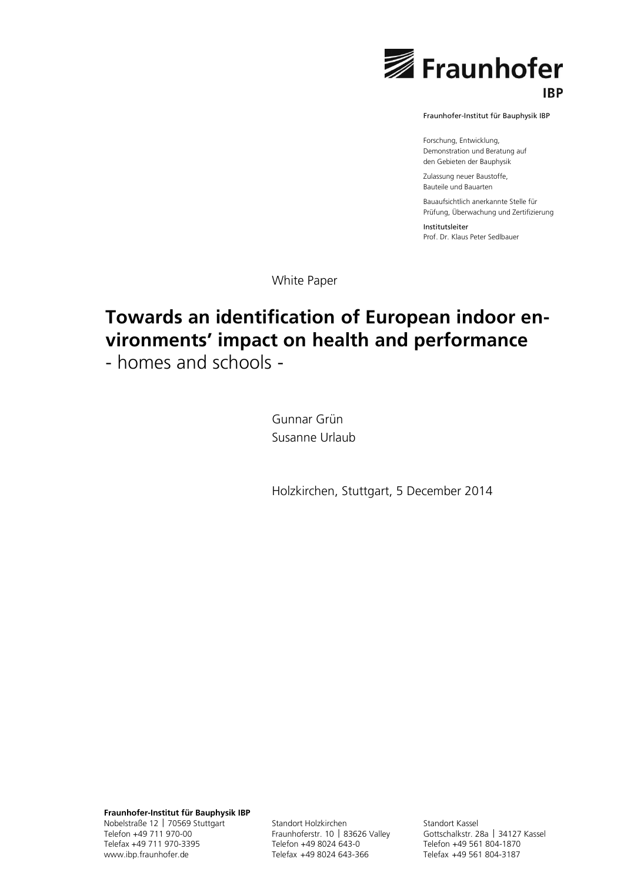

Fraunhofer-Institut für Bauphysik IBP

Forschung, Entwicklung, Demonstration und Beratung auf den Gebieten der Bauphysik

Zulassung neuer Baustoffe, Bauteile und Bauarten

Bauaufsichtlich anerkannte Stelle für Prüfung, Überwachung und Zertifizierung

Institutsleiter Prof. Dr. Klaus Peter Sedlbauer

White Paper

# **Towards an identification of European indoor environments' impact on health and performance**

- homes and schools -

Gunnar Grün Susanne Urlaub

Holzkirchen, Stuttgart, 5 December 2014

**Fraunhofer-Institut für Bauphysik IBP** Nobelstraße 12 | 70569 Stuttgart Telefon +49 711 970-00 Telefax +49 711 970-3395 www.ibp.fraunhofer.de

Standort Holzkirchen Fraunhoferstr. 10 | 83626 Valley Telefon +49 8024 643-0 Telefax +49 8024 643-366

Standort Kassel Gottschalkstr. 28a | 34127 Kassel Telefon +49 561 804-1870 Telefax +49 561 804-3187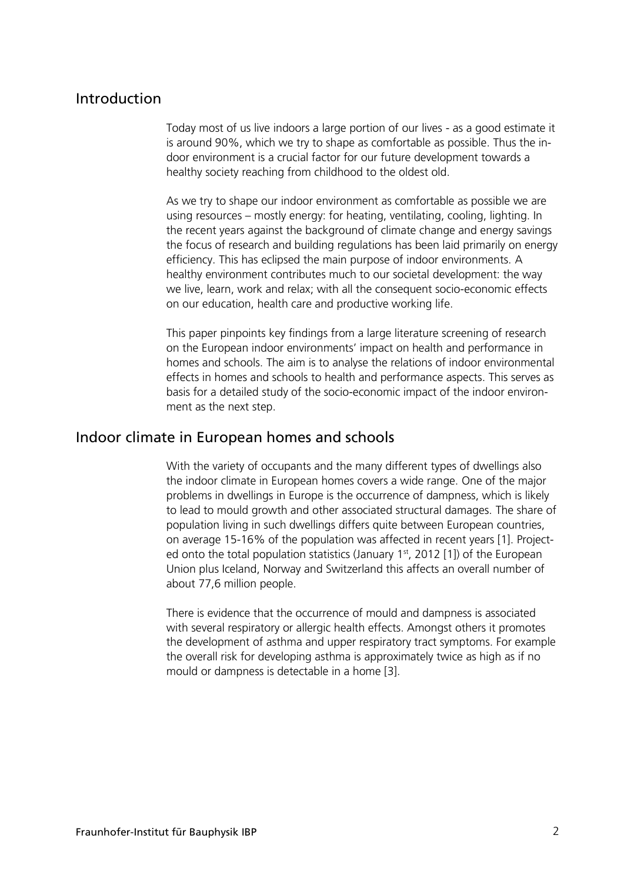## Introduction

Today most of us live indoors a large portion of our lives - as a good estimate it is around 90%, which we try to shape as comfortable as possible. Thus the indoor environment is a crucial factor for our future development towards a healthy society reaching from childhood to the oldest old.

As we try to shape our indoor environment as comfortable as possible we are using resources – mostly energy: for heating, ventilating, cooling, lighting. In the recent years against the background of climate change and energy savings the focus of research and building regulations has been laid primarily on energy efficiency. This has eclipsed the main purpose of indoor environments. A healthy environment contributes much to our societal development: the way we live, learn, work and relax; with all the consequent socio-economic effects on our education, health care and productive working life.

This paper pinpoints key findings from a large literature screening of research on the European indoor environments' impact on health and performance in homes and schools. The aim is to analyse the relations of indoor environmental effects in homes and schools to health and performance aspects. This serves as basis for a detailed study of the socio-economic impact of the indoor environment as the next step.

### Indoor climate in European homes and schools

With the variety of occupants and the many different types of dwellings also the indoor climate in European homes covers a wide range. One of the major problems in dwellings in Europe is the occurrence of dampness, which is likely to lead to mould growth and other associated structural damages. The share of population living in such dwellings differs quite between European countries, on average 15-16% of the population was affected in recent years [1]. Projected onto the total population statistics (January  $1<sup>st</sup>$ , 2012 [1]) of the European Union plus Iceland, Norway and Switzerland this affects an overall number of about 77,6 million people.

There is evidence that the occurrence of mould and dampness is associated with several respiratory or allergic health effects. Amongst others it promotes the development of asthma and upper respiratory tract symptoms. For example the overall risk for developing asthma is approximately twice as high as if no mould or dampness is detectable in a home [3].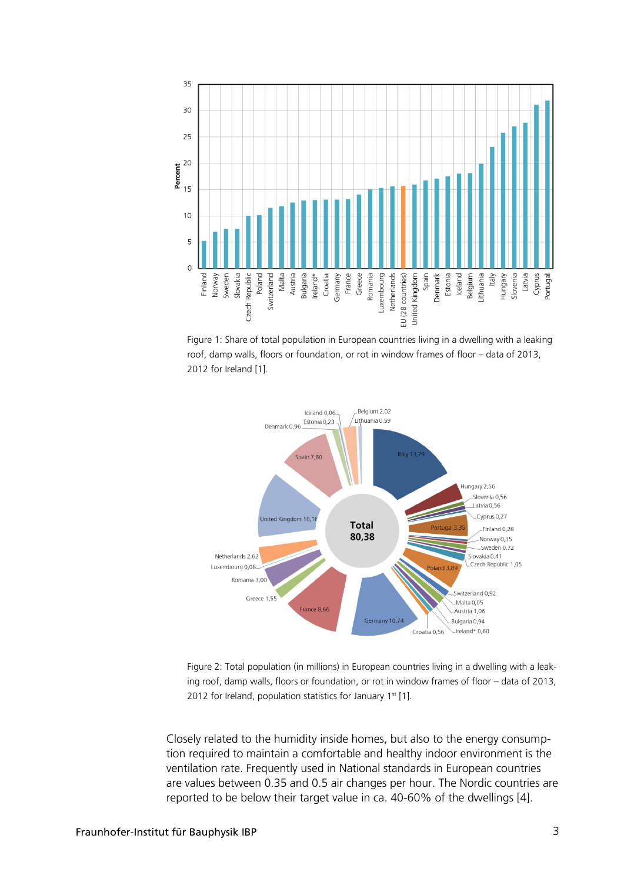





Figure 2: Total population (in millions) in European countries living in a dwelling with a leaking roof, damp walls, floors or foundation, or rot in window frames of floor – data of 2013, 2012 for Ireland, population statistics for January  $1<sup>st</sup>$  [1].

Closely related to the humidity inside homes, but also to the energy consumption required to maintain a comfortable and healthy indoor environment is the ventilation rate. Frequently used in National standards in European countries are values between 0.35 and 0.5 air changes per hour. The Nordic countries are reported to be below their target value in ca. 40-60% of the dwellings [4].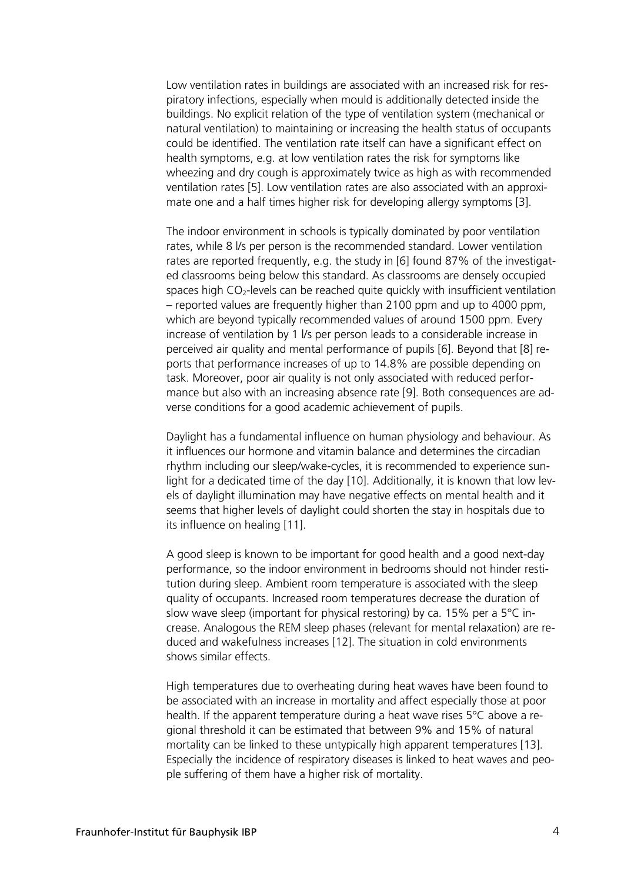Low ventilation rates in buildings are associated with an increased risk for respiratory infections, especially when mould is additionally detected inside the buildings. No explicit relation of the type of ventilation system (mechanical or natural ventilation) to maintaining or increasing the health status of occupants could be identified. The ventilation rate itself can have a significant effect on health symptoms, e.g. at low ventilation rates the risk for symptoms like wheezing and dry cough is approximately twice as high as with recommended ventilation rates [5]. Low ventilation rates are also associated with an approximate one and a half times higher risk for developing allergy symptoms [3].

The indoor environment in schools is typically dominated by poor ventilation rates, while 8 l/s per person is the recommended standard. Lower ventilation rates are reported frequently, e.g. the study in [6] found 87% of the investigated classrooms being below this standard. As classrooms are densely occupied spaces high CO2-levels can be reached quite quickly with insufficient ventilation – reported values are frequently higher than 2100 ppm and up to 4000 ppm, which are beyond typically recommended values of around 1500 ppm. Every increase of ventilation by 1 l/s per person leads to a considerable increase in perceived air quality and mental performance of pupils [6]. Beyond that [8] reports that performance increases of up to 14.8% are possible depending on task. Moreover, poor air quality is not only associated with reduced performance but also with an increasing absence rate [9]. Both consequences are adverse conditions for a good academic achievement of pupils.

Daylight has a fundamental influence on human physiology and behaviour. As it influences our hormone and vitamin balance and determines the circadian rhythm including our sleep/wake-cycles, it is recommended to experience sunlight for a dedicated time of the day [10]. Additionally, it is known that low levels of daylight illumination may have negative effects on mental health and it seems that higher levels of daylight could shorten the stay in hospitals due to its influence on healing [11].

A good sleep is known to be important for good health and a good next-day performance, so the indoor environment in bedrooms should not hinder restitution during sleep. Ambient room temperature is associated with the sleep quality of occupants. Increased room temperatures decrease the duration of slow wave sleep (important for physical restoring) by ca. 15% per a 5°C increase. Analogous the REM sleep phases (relevant for mental relaxation) are reduced and wakefulness increases [12]. The situation in cold environments shows similar effects.

High temperatures due to overheating during heat waves have been found to be associated with an increase in mortality and affect especially those at poor health. If the apparent temperature during a heat wave rises 5°C above a regional threshold it can be estimated that between 9% and 15% of natural mortality can be linked to these untypically high apparent temperatures [13]. Especially the incidence of respiratory diseases is linked to heat waves and people suffering of them have a higher risk of mortality.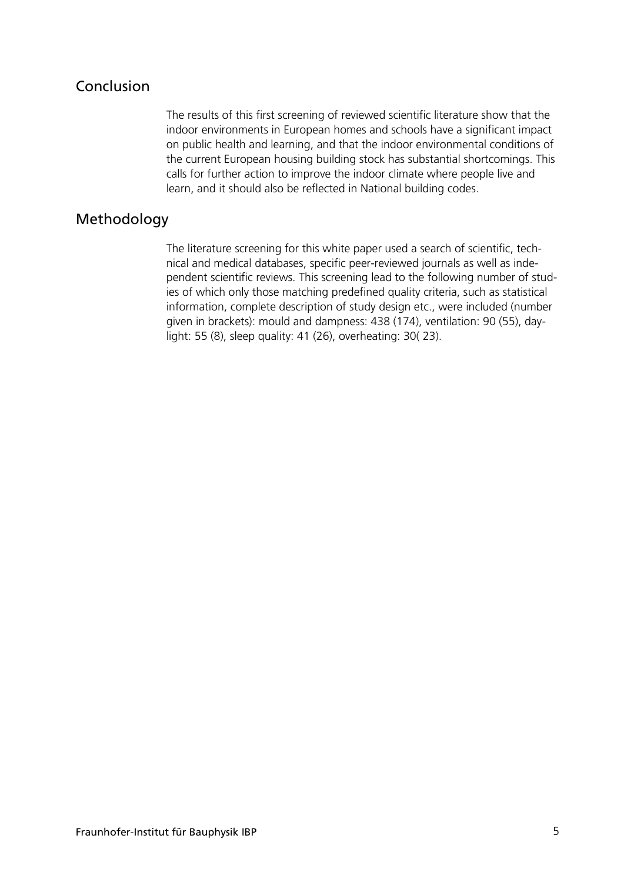# Conclusion

The results of this first screening of reviewed scientific literature show that the indoor environments in European homes and schools have a significant impact on public health and learning, and that the indoor environmental conditions of the current European housing building stock has substantial shortcomings. This calls for further action to improve the indoor climate where people live and learn, and it should also be reflected in National building codes.

# Methodology

The literature screening for this white paper used a search of scientific, technical and medical databases, specific peer-reviewed journals as well as independent scientific reviews. This screening lead to the following number of studies of which only those matching predefined quality criteria, such as statistical information, complete description of study design etc., were included (number given in brackets): mould and dampness: 438 (174), ventilation: 90 (55), daylight: 55 (8), sleep quality: 41 (26), overheating: 30( 23).